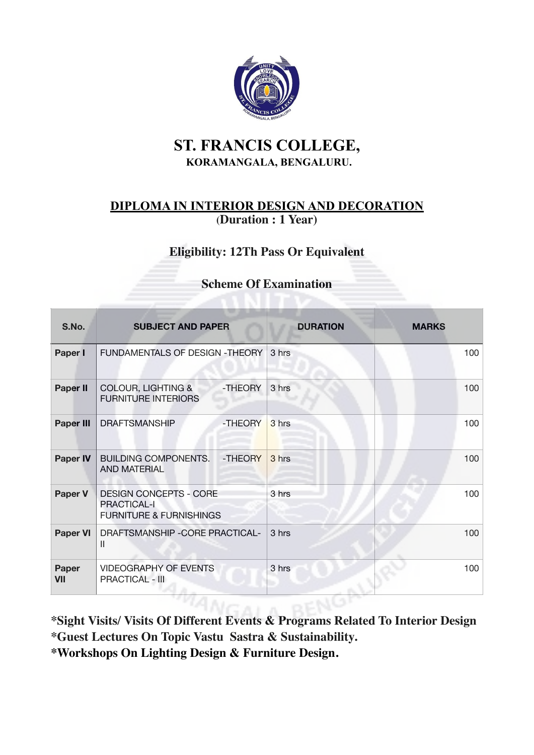

# **ST. FRANCIS COLLEGE, KORAMANGALA, BENGALURU.**

# **DIPLOMA IN INTERIOR DESIGN AND DECORATION (Duration : 1 Year)**

# **Eligibility: 12Th Pass Or Equivalent**

### **Scheme Of Examination**

| S.No.            | <b>SUBJECT AND PAPER</b>                                                                  |         | <b>DURATION</b> | <b>MARKS</b> |
|------------------|-------------------------------------------------------------------------------------------|---------|-----------------|--------------|
| Paper I          | FUNDAMENTALS OF DESIGN -THEORY                                                            |         | 3 hrs           | 100          |
| Paper II         | <b>COLOUR, LIGHTING &amp;</b><br><b>FURNITURE INTERIORS</b>                               | -THEORY | 3 hrs           | 100          |
| <b>Paper III</b> | <b>DRAFTSMANSHIP</b>                                                                      | -THEORY | 3 hrs           | 100          |
| <b>Paper IV</b>  | <b>BUILDING COMPONENTS.</b><br><b>AND MATERIAL</b>                                        | -THEORY | 3 hrs           | 100          |
| <b>Paper V</b>   | <b>DESIGN CONCEPTS - CORE</b><br><b>PRACTICAL-I</b><br><b>FURNITURE &amp; FURNISHINGS</b> |         | 3 hrs           | 100          |
| <b>Paper VI</b>  | DRAFTSMANSHIP - CORE PRACTICAL-<br>Ш                                                      |         | 3 hrs           | 100          |
| Paper<br>VII     | <b>VIDEOGRAPHY OF EVENTS</b><br><b>PRACTICAL - III</b>                                    |         | 3 hrs           | 100          |

**\*Sight Visits/ Visits Of Different Events & Programs Related To Interior Design \*Guest Lectures On Topic Vastu Sastra & Sustainability. \*Workshops On Lighting Design & Furniture Design.**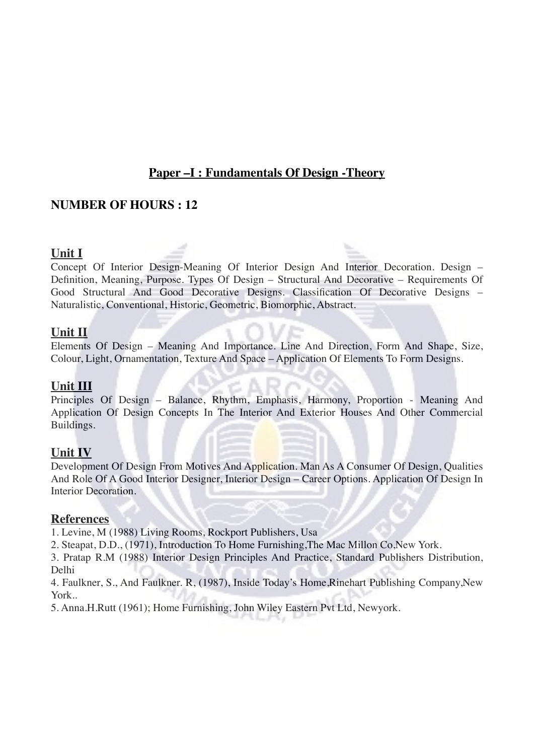# **Paper –I : Fundamentals Of Design -Theory**

### **NUMBER OF HOURS : 12**

#### **Unit I**

Concept Of Interior Design-Meaning Of Interior Design And Interior Decoration. Design – Definition, Meaning, Purpose. Types Of Design – Structural And Decorative – Requirements Of Good Structural And Good Decorative Designs. Classification Of Decorative Designs – Naturalistic, Conventional, Historic, Geometric, Biomorphic, Abstract.

#### **Unit II**

Elements Of Design – Meaning And Importance. Line And Direction, Form And Shape, Size, Colour, Light, Ornamentation, Texture And Space – Application Of Elements To Form Designs.

#### **Unit III**

Principles Of Design – Balance, Rhythm, Emphasis, Harmony, Proportion - Meaning And Application Of Design Concepts In The Interior And Exterior Houses And Other Commercial Buildings.

### **Unit IV**

Development Of Design From Motives And Application. Man As A Consumer Of Design, Qualities And Role Of A Good Interior Designer, Interior Design – Career Options. Application Of Design In Interior Decoration.

#### **References**

1. Levine, M (1988) Living Rooms, Rockport Publishers, Usa

2. Steapat, D.D., (1971), Introduction To Home Furnishing,The Mac Millon Co,New York.

3. Pratap R.M (1988) Interior Design Principles And Practice, Standard Publishers Distribution, Delhi

4. Faulkner, S., And Faulkner. R, (1987), Inside Today's Home,Rinehart Publishing Company,New York..

5. Anna.H.Rutt (1961); Home Furnishing, John Wiley Eastern Pvt Ltd, Newyork.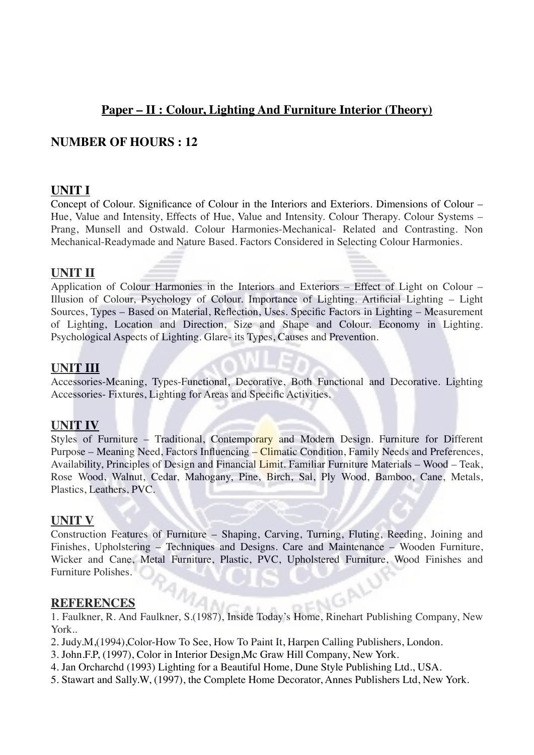# **Paper – II : Colour, Lighting And Furniture Interior (Theory)**

### **NUMBER OF HOURS : 12**

### **UNIT I**

Concept of Colour. Significance of Colour in the Interiors and Exteriors. Dimensions of Colour – Hue, Value and Intensity, Effects of Hue, Value and Intensity. Colour Therapy. Colour Systems – Prang, Munsell and Ostwald. Colour Harmonies-Mechanical- Related and Contrasting. Non Mechanical-Readymade and Nature Based. Factors Considered in Selecting Colour Harmonies.

### **UNIT II**

Application of Colour Harmonies in the Interiors and Exteriors – Effect of Light on Colour – Illusion of Colour, Psychology of Colour. Importance of Lighting. Artificial Lighting – Light Sources, Types – Based on Material, Reflection, Uses. Specific Factors in Lighting – Measurement of Lighting, Location and Direction, Size and Shape and Colour. Economy in Lighting. Psychological Aspects of Lighting. Glare- its Types, Causes and Prevention.

### **UNIT III**

Accessories-Meaning, Types-Functional, Decorative, Both Functional and Decorative. Lighting Accessories- Fixtures, Lighting for Areas and Specific Activities.

#### **UNIT IV**

Styles of Furniture – Traditional, Contemporary and Modern Design. Furniture for Different Purpose – Meaning Need, Factors Influencing – Climatic Condition, Family Needs and Preferences, Availability, Principles of Design and Financial Limit. Familiar Furniture Materials – Wood – Teak, Rose Wood, Walnut, Cedar, Mahogany, Pine, Birch, Sal, Ply Wood, Bamboo, Cane, Metals, Plastics, Leathers, PVC.

### **UNIT V**

Construction Features of Furniture – Shaping, Carving, Turning, Fluting, Reeding, Joining and Finishes, Upholstering – Techniques and Designs. Care and Maintenance – Wooden Furniture, Wicker and Cane, Metal Furniture, Plastic, PVC, Upholstered Furniture, Wood Finishes and Furniture Polishes.

#### **REFERENCES**

**REFERENCES**<br>1. Faulkner, R. And Faulkner, S.(1987), Inside Today's Home, Rinehart Publishing Company, New AMA York..

- 2. Judy.M,(1994),Color-How To See, How To Paint It, Harpen Calling Publishers, London.
- 3. John.F.P, (1997), Color in Interior Design,Mc Graw Hill Company, New York.
- 4. Jan Orcharchd (1993) Lighting for a Beautiful Home, Dune Style Publishing Ltd., USA.
- 5. Stawart and Sally.W, (1997), the Complete Home Decorator, Annes Publishers Ltd, New York.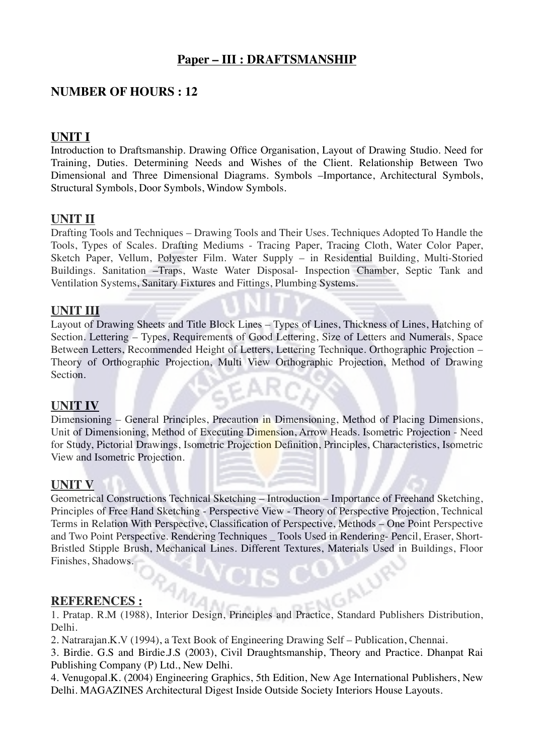# **Paper – III : DRAFTSMANSHIP**

## **NUMBER OF HOURS : 12**

### **UNIT I**

Introduction to Draftsmanship. Drawing Office Organisation, Layout of Drawing Studio. Need for Training, Duties. Determining Needs and Wishes of the Client. Relationship Between Two Dimensional and Three Dimensional Diagrams. Symbols –Importance, Architectural Symbols, Structural Symbols, Door Symbols, Window Symbols.

### **UNIT II**

Drafting Tools and Techniques – Drawing Tools and Their Uses. Techniques Adopted To Handle the Tools, Types of Scales. Drafting Mediums - Tracing Paper, Tracing Cloth, Water Color Paper, Sketch Paper, Vellum, Polyester Film. Water Supply – in Residential Building, Multi-Storied Buildings. Sanitation –Traps, Waste Water Disposal- Inspection Chamber, Septic Tank and Ventilation Systems, Sanitary Fixtures and Fittings, Plumbing Systems.

### **UNIT III**

Layout of Drawing Sheets and Title Block Lines – Types of Lines, Thickness of Lines, Hatching of Section. Lettering – Types, Requirements of Good Lettering, Size of Letters and Numerals, Space Between Letters, Recommended Height of Letters, Lettering Technique. Orthographic Projection – Theory of Orthographic Projection, Multi View Orthographic Projection, Method of Drawing Section. GEAR

## **UNIT IV**

Dimensioning – General Principles, Precaution in Dimensioning, Method of Placing Dimensions, Unit of Dimensioning, Method of Executing Dimension, Arrow Heads. Isometric Projection - Need for Study, Pictorial Drawings, Isometric Projection Definition, Principles, Characteristics, Isometric View and Isometric Projection.

### **UNIT V**

Geometrical Constructions Technical Sketching – Introduction – Importance of Freehand Sketching, Principles of Free Hand Sketching - Perspective View - Theory of Perspective Projection, Technical Terms in Relation With Perspective, Classification of Perspective, Methods – One Point Perspective and Two Point Perspective. Rendering Techniques \_ Tools Used in Rendering- Pencil, Eraser, Short-Bristled Stipple Brush, Mechanical Lines. Different Textures, Materials Used in Buildings, Floor Finishes, Shadows. ALUR

### **REFERENCES :**

1. Pratap. R.M (1988), Interior Design, Principles and Practice, Standard Publishers Distribution, Delhi.

2. Natrarajan.K.V (1994), a Text Book of Engineering Drawing Self – Publication, Chennai.

3. Birdie. G.S and Birdie.J.S (2003), Civil Draughtsmanship, Theory and Practice. Dhanpat Rai Publishing Company (P) Ltd., New Delhi.

4. Venugopal.K. (2004) Engineering Graphics, 5th Edition, New Age International Publishers, New Delhi. MAGAZINES Architectural Digest Inside Outside Society Interiors House Layouts.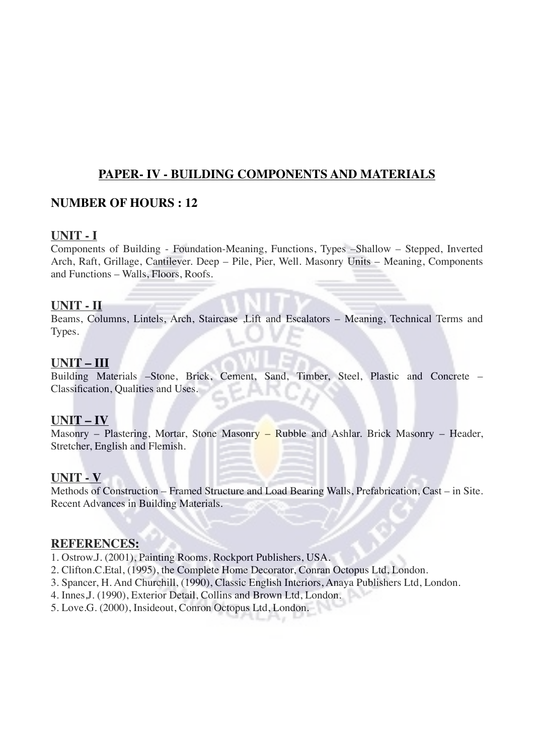## **PAPER- IV - BUILDING COMPONENTS AND MATERIALS**

## **NUMBER OF HOURS : 12**

### **UNIT - I**

Components of Building - Foundation-Meaning, Functions, Types –Shallow – Stepped, Inverted Arch, Raft, Grillage, Cantilever. Deep – Pile, Pier, Well. Masonry Units – Meaning, Components and Functions – Walls, Floors, Roofs.

### **UNIT - II**

Beams, Columns, Lintels, Arch, Staircase ,Lift and Escalators – Meaning, Technical Terms and Types.

### **UNIT – III**

Building Materials –Stone, Brick, Cement, Sand, Timber, Steel, Plastic and Concrete – Classification, Qualities and Uses.

### **UNIT – IV**

Masonry – Plastering, Mortar, Stone Masonry – Rubble and Ashlar. Brick Masonry – Header, Stretcher, English and Flemish.

### **UNIT - V**

Methods of Construction – Framed Structure and Load Bearing Walls, Prefabrication, Cast – in Site. Recent Advances in Building Materials.

### **REFERENCES:**

- 1. Ostrow.J. (2001), Painting Rooms, Rockport Publishers, USA.
- 2. Clifton.C.Etal, (1995), the Complete Home Decorator, Conran Octopus Ltd, London.
- 3. Spancer, H. And Churchill, (1990), Classic English Interiors, Anaya Publishers Ltd, London.
- 4. Innes,J. (1990), Exterior Detail, Collins and Brown Ltd, London.
- 5. Love.G. (2000), Insideout, Conron Octopus Ltd, London.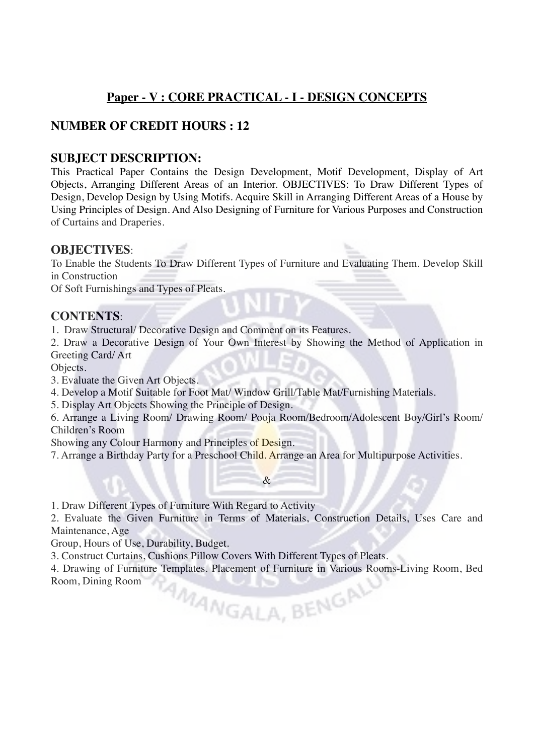# **Paper - V : CORE PRACTICAL - I - DESIGN CONCEPTS**

# **NUMBER OF CREDIT HOURS : 12**

### **SUBJECT DESCRIPTION:**

This Practical Paper Contains the Design Development, Motif Development, Display of Art Objects, Arranging Different Areas of an Interior. OBJECTIVES: To Draw Different Types of Design, Develop Design by Using Motifs. Acquire Skill in Arranging Different Areas of a House by Using Principles of Design. And Also Designing of Furniture for Various Purposes and Construction of Curtains and Draperies.

#### **OBJECTIVES**:

To Enable the Students To Draw Different Types of Furniture and Evaluating Them. Develop Skill in Construction

Of Soft Furnishings and Types of Pleats.

#### **CONTENTS**:

1. Draw Structural/ Decorative Design and Comment on its Features.

2. Draw a Decorative Design of Your Own Interest by Showing the Method of Application in Greeting Card/ Art

Objects.

3. Evaluate the Given Art Objects.

4. Develop a Motif Suitable for Foot Mat/ Window Grill/Table Mat/Furnishing Materials.

5. Display Art Objects Showing the Principle of Design.

6. Arrange a Living Room/ Drawing Room/ Pooja Room/Bedroom/Adolescent Boy/Girl's Room/ Children's Room

Showing any Colour Harmony and Principles of Design.

7. Arrange a Birthday Party for a Preschool Child. Arrange an Area for Multipurpose Activities.

1. Draw Different Types of Furniture With Regard to Activity

2. Evaluate the Given Furniture in Terms of Materials, Construction Details, Uses Care and Maintenance, Age

&

Group, Hours of Use, Durability, Budget.

3. Construct Curtains, Cushions Pillow Covers With Different Types of Pleats.

4. Drawing of Furniture Templates. Placement of Furniture in Various Rooms-Living Room, Bed Room, Dining Room MANGALA, BENGAL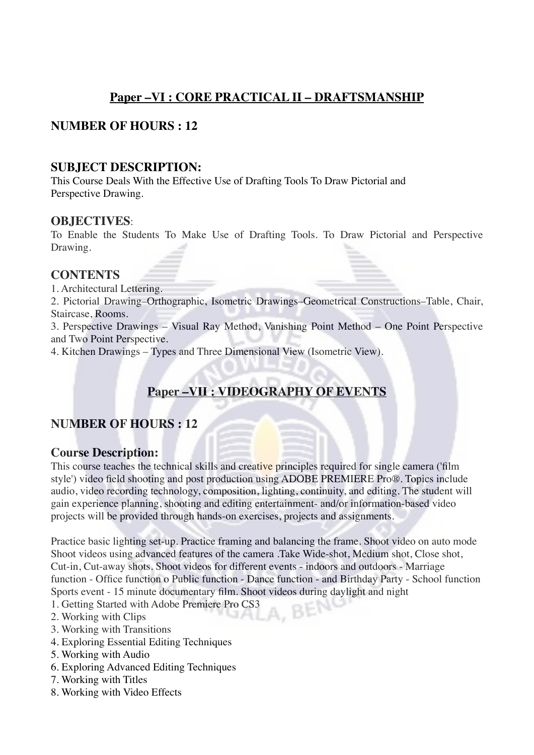# **Paper –VI : CORE PRACTICAL II – DRAFTSMANSHIP**

# **NUMBER OF HOURS : 12**

### **SUBJECT DESCRIPTION:**

This Course Deals With the Effective Use of Drafting Tools To Draw Pictorial and Perspective Drawing.

#### **OBJECTIVES**:

To Enable the Students To Make Use of Drafting Tools. To Draw Pictorial and Perspective Drawing.

#### **CONTENTS**

1. Architectural Lettering.

2. Pictorial Drawing–Orthographic, Isometric Drawings–Geometrical Constructions–Table, Chair, Staircase, Rooms.

3. Perspective Drawings – Visual Ray Method, Vanishing Point Method – One Point Perspective and Two Point Perspective.

4. Kitchen Drawings – Types and Three Dimensional View (Isometric View).

# **Paper –VII : VIDEOGRAPHY OF EVENTS**

## **NUMBER OF HOURS : 12**

### **Course Description:**

This course teaches the technical skills and creative principles required for single camera ('film style') video field shooting and post production using ADOBE PREMIERE Pro®. Topics include audio, video recording technology, composition, lighting, continuity, and editing. The student will gain experience planning, shooting and editing entertainment- and/or information-based video projects will be provided through hands-on exercises, projects and assignments.

Practice basic lighting set-up. Practice framing and balancing the frame. Shoot video on auto mode Shoot videos using advanced features of the camera .Take Wide-shot, Medium shot, Close shot, Cut-in, Cut-away shots. Shoot videos for different events - indoors and outdoors - Marriage function - Office function o Public function - Dance function - and Birthday Party - School function Sports event - 15 minute documentary film. Shoot videos during daylight and night<br>1. Getting Started with Adobe Premiere Pro CS3<br>2. Working with Clina

- 1. Getting Started with Adobe Premiere Pro CS3
- 2. Working with Clips
- 3. Working with Transitions
- 4. Exploring Essential Editing Techniques
- 5. Working with Audio
- 6. Exploring Advanced Editing Techniques
- 7. Working with Titles
- 8. Working with Video Effects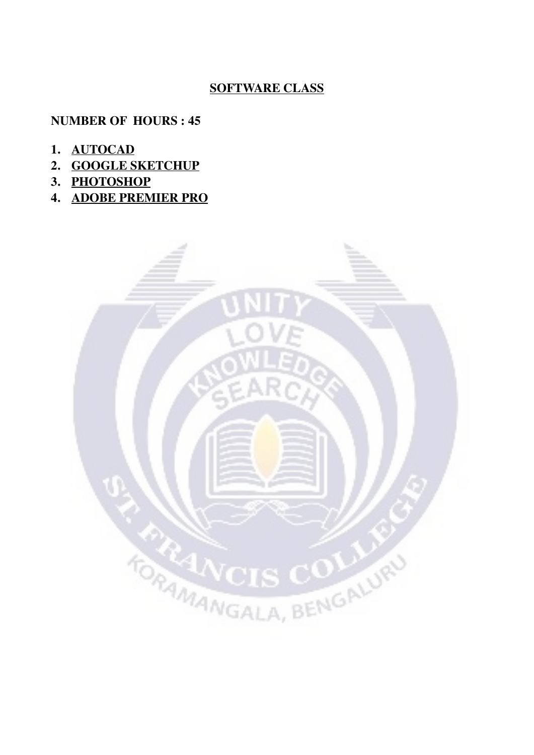# **SOFTWARE CLASS**

# **NUMBER OF HOURS : 45**

- **1. AUTOCAD**
- **2. GOOGLE SKETCHUP**
- **3. PHOTOSHOP**
- **4. ADOBE PREMIER PRO**

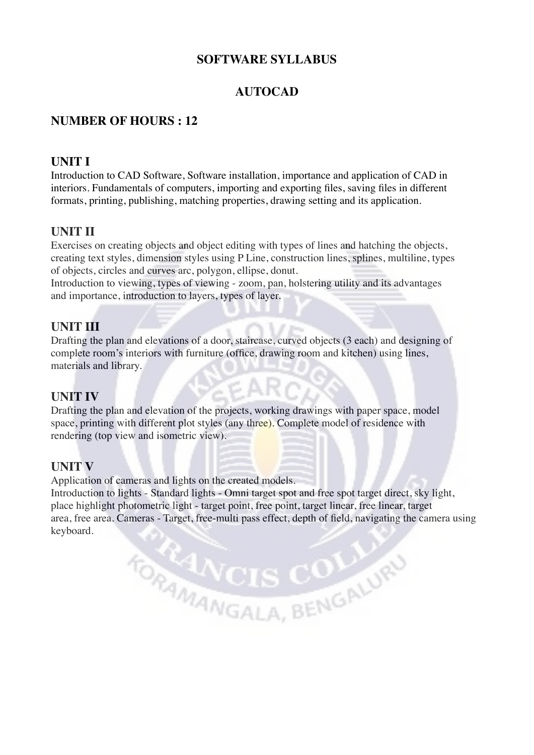## **SOFTWARE SYLLABUS**

# **AUTOCAD**

## **NUMBER OF HOURS : 12**

### **UNIT I**

Introduction to CAD Software, Software installation, importance and application of CAD in interiors. Fundamentals of computers, importing and exporting files, saving files in different formats, printing, publishing, matching properties, drawing setting and its application.

# **UNIT II**

Exercises on creating objects and object editing with types of lines and hatching the objects, creating text styles, dimension styles using P Line, construction lines, splines, multiline, types of objects, circles and curves arc, polygon, ellipse, donut.

Introduction to viewing, types of viewing - zoom, pan, holstering utility and its advantages and importance, introduction to layers, types of layer.

### **UNIT III**

Drafting the plan and elevations of a door, staircase, curved objects (3 each) and designing of complete room's interiors with furniture (office, drawing room and kitchen) using lines, materials and library.

### **UNIT IV**

Drafting the plan and elevation of the projects, working drawings with paper space, model space, printing with different plot styles (any three). Complete model of residence with rendering (top view and isometric view).

### **UNIT V**

Application of cameras and lights on the created models.

Introduction to lights - Standard lights - Omni target spot and free spot target direct, sky light, place highlight photometric light - target point, free point, target linear, free linear, target area, free area. Cameras - Target, free-multi pass effect, depth of field, navigating the camera using keyboard.

TORMANGALA, BENGALURU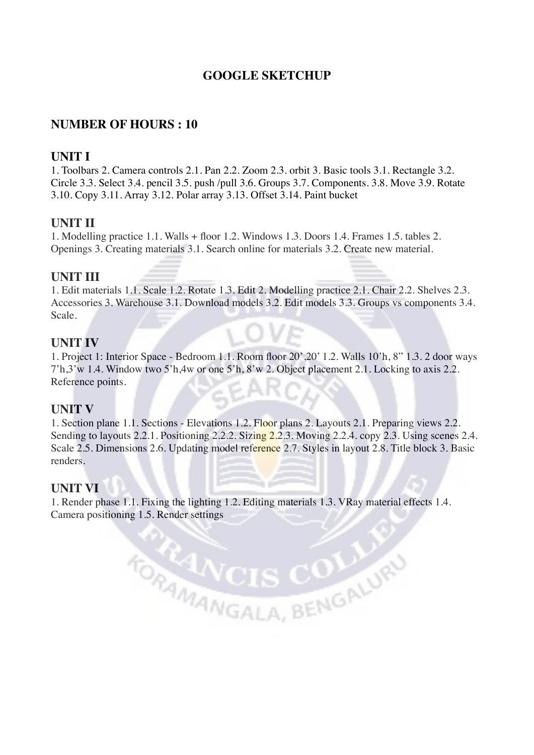# **GOOGLE SKETCHUP**

### **NUMBER OF HOURS : 10**

### **UNIT I**

1. Toolbars 2. Camera controls 2.1. Pan 2.2. Zoom 2.3. orbit 3. Basic tools 3.1. Rectangle 3.2. Circle 3.3. Select 3.4. pencil 3.5. push /pull 3.6. Groups 3.7. Components. 3.8. Move 3.9. Rotate 3.10. Copy 3.11. Array 3.12. Polar array 3.13. Offset 3.14. Paint bucket

#### **UNIT II**

1. Modelling practice 1.1. Walls + floor 1.2. Windows 1.3. Doors 1.4. Frames 1.5. tables 2. Openings 3. Creating materials 3.1. Search online for materials 3.2. Create new material.

#### **UNIT III**

1. Edit materials 1.1. Scale 1.2. Rotate 1.3. Edit 2. Modelling practice 2.1. Chair 2.2. Shelves 2.3. Accessories 3. Warehouse 3.1. Download models 3.2. Edit models 3.3. Groups vs components 3.4. Scale.

#### **UNIT IV**

1. Project 1: Interior Space - Bedroom 1.1. Room floor 20',20' 1.2. Walls 10'h, 8" 1.3. 2 door ways 7'h,3'w 1.4. Window two 5'h,4w or one 5'h, 8'w 2. Object placement 2.1. Locking to axis 2.2. Reference points.

#### **UNIT V**

1. Section plane 1.1. Sections - Elevations 1.2. Floor plans 2. Layouts 2.1. Preparing views 2.2. Sending to layouts 2.2.1. Positioning 2.2.2. Sizing 2.2.3. Moving 2.2.4. copy 2.3. Using scenes 2.4. Scale 2.5. Dimensions 2.6. Updating model reference 2.7. Styles in layout 2.8. Title block 3. Basic renders.

#### **UNIT VI**

1. Render phase 1.1. Fixing the lighting 1.2. Editing materials 1.3. VRay material effects 1.4. Camera positioning 1.5. Render settings

TORTANCIS COLUMN

 $\sum_{i=1}^{n}$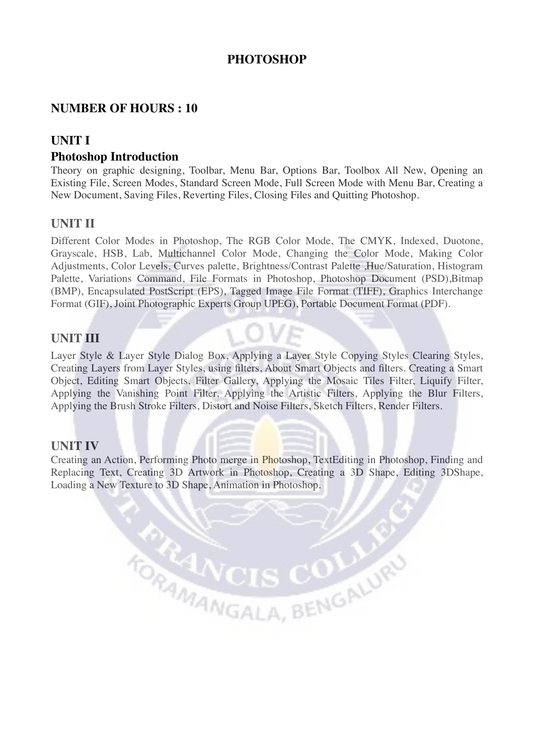# **PHOTOSHOP**

## **NUMBER OF HOURS : 10**

## **UNIT I**

#### **Photoshop Introduction**

Theory on graphic designing, Toolbar, Menu Bar, Options Bar, Toolbox All New, Opening an Existing File, Screen Modes, Standard Screen Mode, Full Screen Mode with Menu Bar, Creating a New Document, Saving Files, Reverting Files, Closing Files and Quitting Photoshop.

### **UNIT II**

Different Color Modes in Photoshop, The RGB Color Mode, The CMYK, Indexed, Duotone, Grayscale, HSB, Lab, Multichannel Color Mode, Changing the Color Mode, Making Color Adjustments, Color Levels, Curves palette, Brightness/Contrast Palette ,Hue/Saturation, Histogram Palette, Variations Command, File Formats in Photoshop, Photoshop Document (PSD),Bitmap (BMP), Encapsulated PostScript (EPS), Tagged Image File Format (TIFF), Graphics Interchange Format (GIF), Joint Photographic Experts Group UPEG), Portable Document Format (PDF).

#### **UNIT III**

Layer Style & Layer Style Dialog Box, Applying a Layer Style Copying Styles Clearing Styles, Creating Layers from Layer Styles, using filters, About Smart Objects and filters. Creating a Smart Object, Editing Smart Objects, Filter Gallery, Applying the Mosaic Tiles Filter, Liquify Filter, Applying the Vanishing Point Filter, Applying the Artistic Filters, Applying the Blur Filters, Applying the Brush Stroke Filters, Distort and Noise Filters, Sketch Filters, Render Filters.

OVE

#### **UNIT IV**

Creating an Action, Performing Photo merge in Photoshop, TextEditing in Photoshop, Finding and Replacing Text, Creating 3D Artwork in Photoshop, Creating a 3D Shape, Editing 3DShape, Loading a New Texture to 3D Shape, Animation in Photoshop.

TORMANGALA, BENGALUR